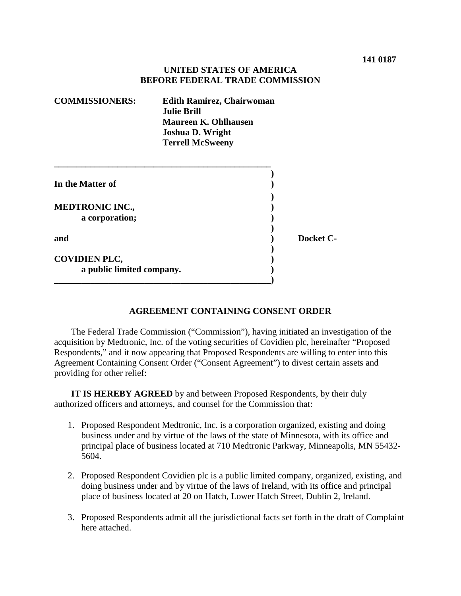## **UNITED STATES OF AMERICA BEFORE FEDERAL TRADE COMMISSION**

| <b>COMMISSIONERS:</b>                             | <b>Edith Ramirez, Chairwoman</b><br><b>Julie Brill</b><br><b>Maureen K. Ohlhausen</b><br><b>Joshua D. Wright</b><br><b>Terrell McSweeny</b> |           |
|---------------------------------------------------|---------------------------------------------------------------------------------------------------------------------------------------------|-----------|
| In the Matter of                                  |                                                                                                                                             |           |
| <b>MEDTRONIC INC.,</b><br>a corporation;          |                                                                                                                                             |           |
| and                                               |                                                                                                                                             | Docket C- |
| <b>COVIDIEN PLC,</b><br>a public limited company. |                                                                                                                                             |           |

## **AGREEMENT CONTAINING CONSENT ORDER**

The Federal Trade Commission ("Commission"), having initiated an investigation of the acquisition by Medtronic, Inc. of the voting securities of Covidien plc, hereinafter "Proposed Respondents," and it now appearing that Proposed Respondents are willing to enter into this Agreement Containing Consent Order ("Consent Agreement") to divest certain assets and providing for other relief:

**IT IS HEREBY AGREED** by and between Proposed Respondents, by their duly authorized officers and attorneys, and counsel for the Commission that:

- 1. Proposed Respondent Medtronic, Inc. is a corporation organized, existing and doing business under and by virtue of the laws of the state of Minnesota, with its office and principal place of business located at 710 Medtronic Parkway, Minneapolis, MN 55432- 5604.
- 2. Proposed Respondent Covidien plc is a public limited company, organized, existing, and doing business under and by virtue of the laws of Ireland, with its office and principal place of business located at 20 on Hatch, Lower Hatch Street, Dublin 2, Ireland.
- 3. Proposed Respondents admit all the jurisdictional facts set forth in the draft of Complaint here attached.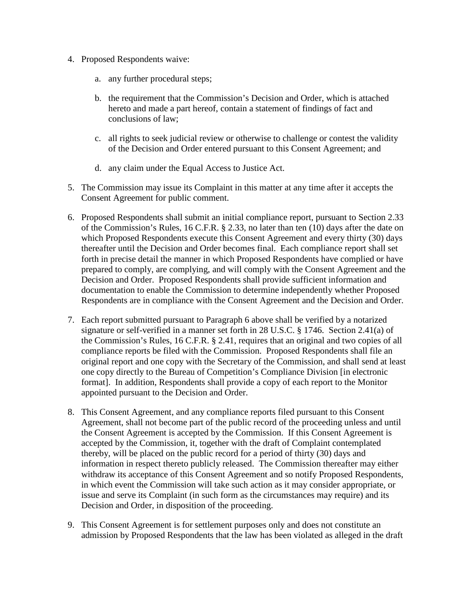- 4. Proposed Respondents waive:
	- a. any further procedural steps;
	- b. the requirement that the Commission's Decision and Order, which is attached hereto and made a part hereof, contain a statement of findings of fact and conclusions of law;
	- c. all rights to seek judicial review or otherwise to challenge or contest the validity of the Decision and Order entered pursuant to this Consent Agreement; and
	- d. any claim under the Equal Access to Justice Act.
- 5. The Commission may issue its Complaint in this matter at any time after it accepts the Consent Agreement for public comment.
- 6. Proposed Respondents shall submit an initial compliance report, pursuant to Section 2.33 of the Commission's Rules, 16 C.F.R. § 2.33, no later than ten (10) days after the date on which Proposed Respondents execute this Consent Agreement and every thirty (30) days thereafter until the Decision and Order becomes final. Each compliance report shall set forth in precise detail the manner in which Proposed Respondents have complied or have prepared to comply, are complying, and will comply with the Consent Agreement and the Decision and Order. Proposed Respondents shall provide sufficient information and documentation to enable the Commission to determine independently whether Proposed Respondents are in compliance with the Consent Agreement and the Decision and Order.
- 7. Each report submitted pursuant to Paragraph 6 above shall be verified by a notarized signature or self-verified in a manner set forth in 28 U.S.C. § 1746. Section 2.41(a) of the Commission's Rules, 16 C.F.R. § 2.41, requires that an original and two copies of all compliance reports be filed with the Commission. Proposed Respondents shall file an original report and one copy with the Secretary of the Commission, and shall send at least one copy directly to the Bureau of Competition's Compliance Division [in electronic format]. In addition, Respondents shall provide a copy of each report to the Monitor appointed pursuant to the Decision and Order.
- 8. This Consent Agreement, and any compliance reports filed pursuant to this Consent Agreement, shall not become part of the public record of the proceeding unless and until the Consent Agreement is accepted by the Commission. If this Consent Agreement is accepted by the Commission, it, together with the draft of Complaint contemplated thereby, will be placed on the public record for a period of thirty (30) days and information in respect thereto publicly released. The Commission thereafter may either withdraw its acceptance of this Consent Agreement and so notify Proposed Respondents, in which event the Commission will take such action as it may consider appropriate, or issue and serve its Complaint (in such form as the circumstances may require) and its Decision and Order, in disposition of the proceeding.
- 9. This Consent Agreement is for settlement purposes only and does not constitute an admission by Proposed Respondents that the law has been violated as alleged in the draft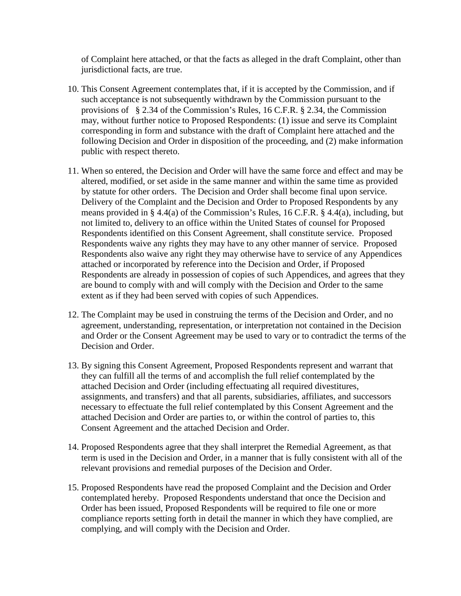of Complaint here attached, or that the facts as alleged in the draft Complaint, other than jurisdictional facts, are true.

- 10. This Consent Agreement contemplates that, if it is accepted by the Commission, and if such acceptance is not subsequently withdrawn by the Commission pursuant to the provisions of § 2.34 of the Commission's Rules, 16 C.F.R. § 2.34, the Commission may, without further notice to Proposed Respondents: (1) issue and serve its Complaint corresponding in form and substance with the draft of Complaint here attached and the following Decision and Order in disposition of the proceeding, and (2) make information public with respect thereto.
- 11. When so entered, the Decision and Order will have the same force and effect and may be altered, modified, or set aside in the same manner and within the same time as provided by statute for other orders. The Decision and Order shall become final upon service. Delivery of the Complaint and the Decision and Order to Proposed Respondents by any means provided in § 4.4(a) of the Commission's Rules, 16 C.F.R. § 4.4(a), including, but not limited to, delivery to an office within the United States of counsel for Proposed Respondents identified on this Consent Agreement, shall constitute service. Proposed Respondents waive any rights they may have to any other manner of service. Proposed Respondents also waive any right they may otherwise have to service of any Appendices attached or incorporated by reference into the Decision and Order, if Proposed Respondents are already in possession of copies of such Appendices, and agrees that they are bound to comply with and will comply with the Decision and Order to the same extent as if they had been served with copies of such Appendices.
- 12. The Complaint may be used in construing the terms of the Decision and Order, and no agreement, understanding, representation, or interpretation not contained in the Decision and Order or the Consent Agreement may be used to vary or to contradict the terms of the Decision and Order.
- 13. By signing this Consent Agreement, Proposed Respondents represent and warrant that they can fulfill all the terms of and accomplish the full relief contemplated by the attached Decision and Order (including effectuating all required divestitures, assignments, and transfers) and that all parents, subsidiaries, affiliates, and successors necessary to effectuate the full relief contemplated by this Consent Agreement and the attached Decision and Order are parties to, or within the control of parties to, this Consent Agreement and the attached Decision and Order.
- 14. Proposed Respondents agree that they shall interpret the Remedial Agreement, as that term is used in the Decision and Order, in a manner that is fully consistent with all of the relevant provisions and remedial purposes of the Decision and Order.
- 15. Proposed Respondents have read the proposed Complaint and the Decision and Order contemplated hereby. Proposed Respondents understand that once the Decision and Order has been issued, Proposed Respondents will be required to file one or more compliance reports setting forth in detail the manner in which they have complied, are complying, and will comply with the Decision and Order.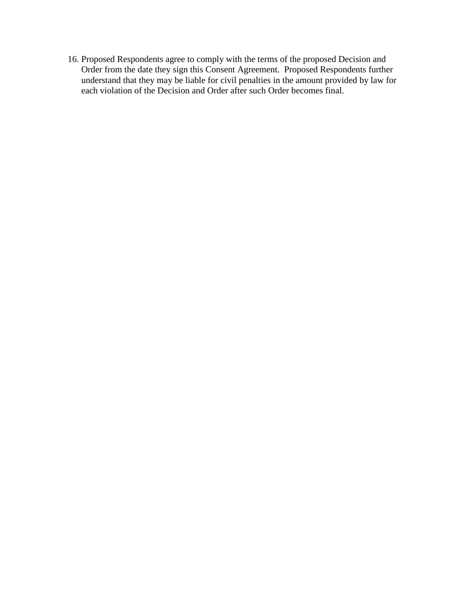16. Proposed Respondents agree to comply with the terms of the proposed Decision and Order from the date they sign this Consent Agreement. Proposed Respondents further understand that they may be liable for civil penalties in the amount provided by law for each violation of the Decision and Order after such Order becomes final.